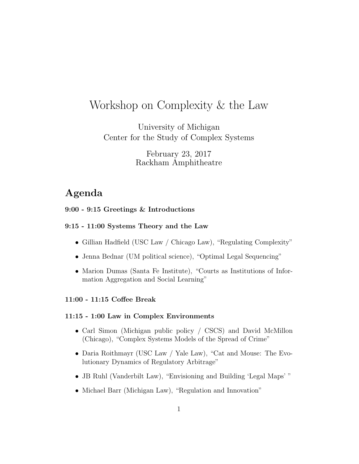# Workshop on Complexity & the Law

University of Michigan Center for the Study of Complex Systems

> February 23, 2017 Rackham Amphitheatre

# Agenda

# 9:00 - 9:15 Greetings & Introductions

#### 9:15 - 11:00 Systems Theory and the Law

- Gillian Hadfield (USC Law / Chicago Law), "Regulating Complexity"
- Jenna Bednar (UM political science), "Optimal Legal Sequencing"
- Marion Dumas (Santa Fe Institute), "Courts as Institutions of Information Aggregation and Social Learning"

#### 11:00 - 11:15 Coffee Break

#### 11:15 - 1:00 Law in Complex Environments

- Carl Simon (Michigan public policy / CSCS) and David McMillon (Chicago), "Complex Systems Models of the Spread of Crime"
- Daria Roithmayr (USC Law / Yale Law), "Cat and Mouse: The Evolutionary Dynamics of Regulatory Arbitrage"
- JB Ruhl (Vanderbilt Law), "Envisioning and Building 'Legal Maps' "
- Michael Barr (Michigan Law), "Regulation and Innovation"